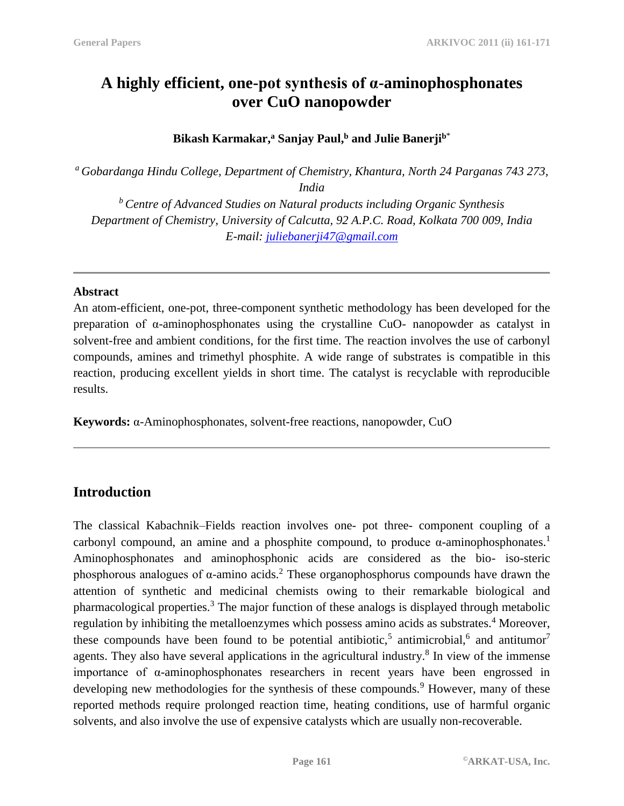# **A highly efficient, one-pot synthesis of α-aminophosphonates over CuO nanopowder**

**Bikash Karmakar, <sup>a</sup> Sanjay Paul, <sup>b</sup> and Julie Banerji<sup>b</sup>**\*

*<sup>a</sup> Gobardanga Hindu College, Department of Chemistry, Khantura, North 24 Parganas 743 273, India*

*<sup>b</sup> Centre of Advanced Studies on Natural products including Organic Synthesis Department of Chemistry, University of Calcutta, 92 A.P.C. Road, Kolkata 700 009, India E-mail: [juliebanerji47@gmail.com](mailto:juliebanerji47@gmail.com)*

#### **Abstract**

An atom-efficient, one-pot, three-component synthetic methodology has been developed for the preparation of α-aminophosphonates using the crystalline CuO- nanopowder as catalyst in solvent-free and ambient conditions, for the first time. The reaction involves the use of carbonyl compounds, amines and trimethyl phosphite. A wide range of substrates is compatible in this reaction, producing excellent yields in short time. The catalyst is recyclable with reproducible results.

**Keywords:** α-Aminophosphonates, solvent-free reactions, nanopowder, CuO

### **Introduction**

The classical Kabachnik–Fields reaction involves one- pot three- component coupling of a carbonyl compound, an amine and a phosphite compound, to produce  $\alpha$ -aminophosphonates.<sup>1</sup> Aminophosphonates and aminophosphonic acids are considered as the bio- iso-steric phosphorous analogues of  $\alpha$ -amino acids.<sup>2</sup> These organophosphorus compounds have drawn the attention of synthetic and medicinal chemists owing to their remarkable biological and pharmacological properties.<sup>3</sup> The major function of these analogs is displayed through metabolic regulation by inhibiting the metalloenzymes which possess amino acids as substrates.<sup>4</sup> Moreover, these compounds have been found to be potential antibiotic,<sup>5</sup> antimicrobial,<sup>6</sup> and antitumor<sup>7</sup> agents. They also have several applications in the agricultural industry.<sup>8</sup> In view of the immense importance of α-aminophosphonates researchers in recent years have been engrossed in developing new methodologies for the synthesis of these compounds.<sup>9</sup> However, many of these reported methods require prolonged reaction time, heating conditions, use of harmful organic solvents, and also involve the use of expensive catalysts which are usually non-recoverable.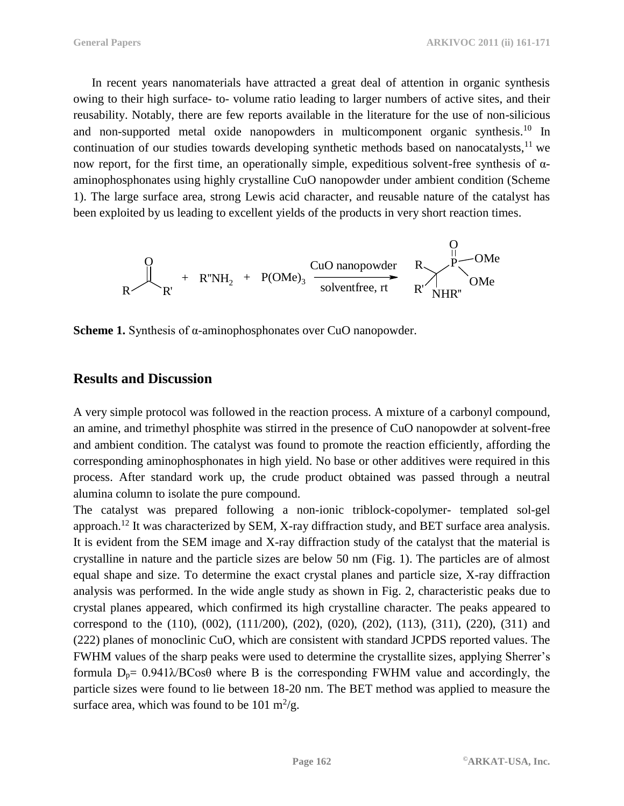In recent years nanomaterials have attracted a great deal of attention in organic synthesis owing to their high surface- to- volume ratio leading to larger numbers of active sites, and their reusability. Notably, there are few reports available in the literature for the use of non-silicious and non-supported metal oxide nanopowders in multicomponent organic synthesis.<sup>10</sup> In continuation of our studies towards developing synthetic methods based on nanocatalysts,<sup>11</sup> we now report, for the first time, an operationally simple, expeditious solvent-free synthesis of  $α$ aminophosphonates using highly crystalline CuO nanopowder under ambient condition (Scheme 1). The large surface area, strong Lewis acid character, and reusable nature of the catalyst has been exploited by us leading to excellent yields of the products in very short reaction times.



**Scheme 1.** Synthesis of α-aminophosphonates over CuO nanopowder.

## **Results and Discussion**

A very simple protocol was followed in the reaction process. A mixture of a carbonyl compound, an amine, and trimethyl phosphite was stirred in the presence of CuO nanopowder at solvent-free and ambient condition. The catalyst was found to promote the reaction efficiently, affording the corresponding aminophosphonates in high yield. No base or other additives were required in this process. After standard work up, the crude product obtained was passed through a neutral alumina column to isolate the pure compound.

The catalyst was prepared following a non-ionic triblock-copolymer- templated sol-gel approach.<sup>12</sup> It was characterized by SEM, X-ray diffraction study, and BET surface area analysis. It is evident from the SEM image and X-ray diffraction study of the catalyst that the material is crystalline in nature and the particle sizes are below 50 nm (Fig. 1). The particles are of almost equal shape and size. To determine the exact crystal planes and particle size, X-ray diffraction analysis was performed. In the wide angle study as shown in Fig. 2, characteristic peaks due to crystal planes appeared, which confirmed its high crystalline character. The peaks appeared to correspond to the (110), (002), (111/200), (202), (020), (202), (113), (311), (220), (311) and (222) planes of monoclinic CuO, which are consistent with standard JCPDS reported values. The FWHM values of the sharp peaks were used to determine the crystallite sizes, applying Sherrer's formula  $D_p = 0.941\lambda/BCos\theta$  where B is the corresponding FWHM value and accordingly, the particle sizes were found to lie between 18-20 nm. The BET method was applied to measure the surface area, which was found to be 101 m<sup>2</sup>/g.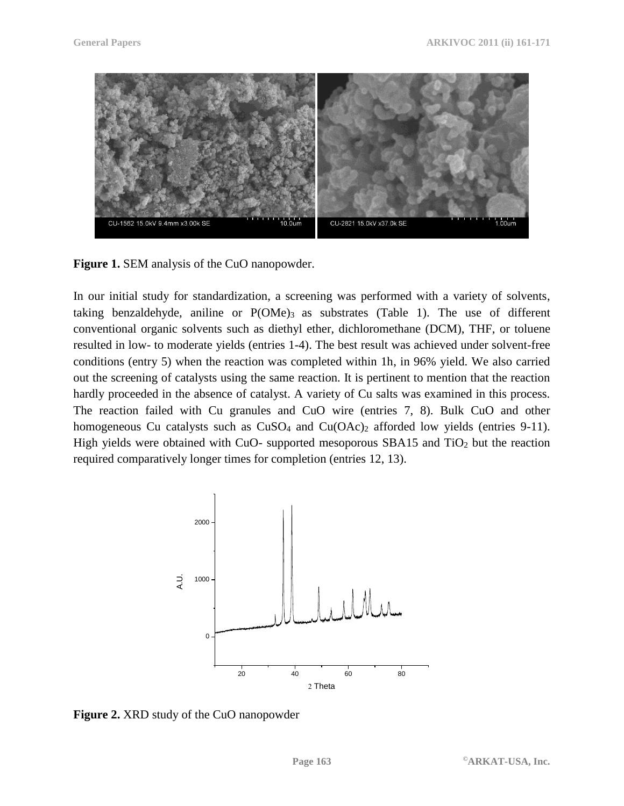

**Figure 1.** SEM analysis of the CuO nanopowder.

In our initial study for standardization, a screening was performed with a variety of solvents, taking benzaldehyde, aniline or  $P(OMe)$ <sub>3</sub> as substrates (Table 1). The use of different conventional organic solvents such as diethyl ether, dichloromethane (DCM), THF, or toluene resulted in low- to moderate yields (entries 1-4). The best result was achieved under solvent-free conditions (entry 5) when the reaction was completed within 1h, in 96% yield. We also carried out the screening of catalysts using the same reaction. It is pertinent to mention that the reaction hardly proceeded in the absence of catalyst. A variety of Cu salts was examined in this process. The reaction failed with Cu granules and CuO wire (entries 7, 8). Bulk CuO and other homogeneous Cu catalysts such as  $CuSO<sub>4</sub>$  and  $Cu(OAc)<sub>2</sub>$  afforded low yields (entries 9-11). High yields were obtained with CuO- supported mesoporous SBA15 and  $TiO<sub>2</sub>$  but the reaction required comparatively longer times for completion (entries 12, 13).



**Figure 2.** XRD study of the CuO nanopowder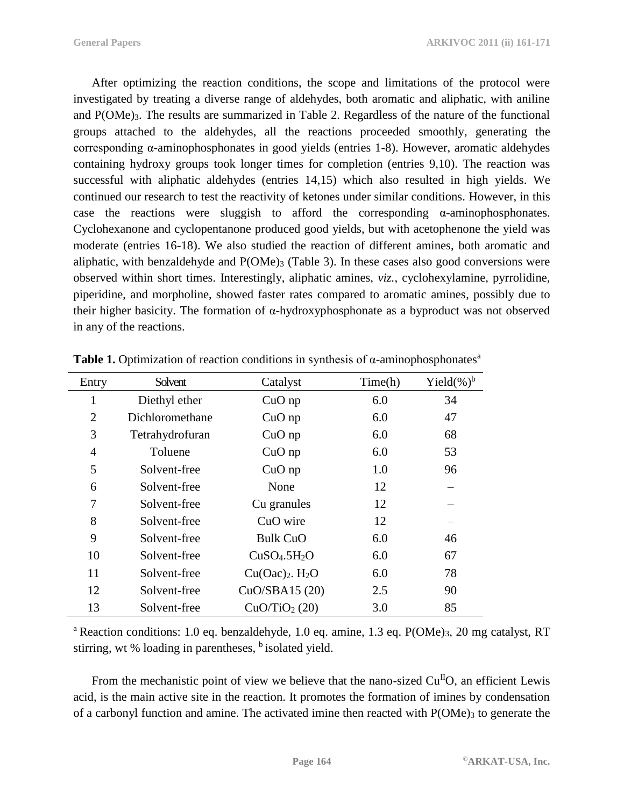After optimizing the reaction conditions, the scope and limitations of the protocol were investigated by treating a diverse range of aldehydes, both aromatic and aliphatic, with aniline and P(OMe)<sub>3</sub>. The results are summarized in Table 2. Regardless of the nature of the functional groups attached to the aldehydes, all the reactions proceeded smoothly, generating the corresponding α-aminophosphonates in good yields (entries 1-8). However, aromatic aldehydes containing hydroxy groups took longer times for completion (entries 9,10). The reaction was successful with aliphatic aldehydes (entries 14,15) which also resulted in high yields. We continued our research to test the reactivity of ketones under similar conditions. However, in this case the reactions were sluggish to afford the corresponding  $\alpha$ -aminophosphonates. Cyclohexanone and cyclopentanone produced good yields, but with acetophenone the yield was moderate (entries 16-18). We also studied the reaction of different amines, both aromatic and aliphatic, with benzaldehyde and  $P(OMe)_3$  (Table 3). In these cases also good conversions were observed within short times. Interestingly, aliphatic amines, *viz.*, cyclohexylamine, pyrrolidine, piperidine, and morpholine, showed faster rates compared to aromatic amines, possibly due to their higher basicity. The formation of α-hydroxyphosphonate as a byproduct was not observed in any of the reactions.

| Entry          | Solvent         | Catalyst                             | Time(h) | Yield $(\%)^b$ |
|----------------|-----------------|--------------------------------------|---------|----------------|
| 1              | Diethyl ether   | $CuO$ np                             | 6.0     | 34             |
| $\overline{2}$ | Dichloromethane | $CuO$ np                             | 6.0     | 47             |
| 3              | Tetrahydrofuran | $CuO$ np                             | 6.0     | 68             |
| $\overline{4}$ | Toluene         | $CuO$ np                             | 6.0     | 53             |
| 5              | Solvent-free    | $CuO$ np                             | 1.0     | 96             |
| 6              | Solvent-free    | None                                 | 12      |                |
| 7              | Solvent-free    | Cu granules                          | 12      |                |
| 8              | Solvent-free    | CuO wire                             | 12      |                |
| 9              | Solvent-free    | <b>Bulk CuO</b>                      | 6.0     | 46             |
| 10             | Solvent-free    | CuSO <sub>4</sub> .5H <sub>2</sub> O | 6.0     | 67             |
| 11             | Solvent-free    | $Cu(Oac)2$ . H <sub>2</sub> O        | 6.0     | 78             |
| 12             | Solvent-free    | CuO/SBA15 (20)                       | 2.5     | 90             |
| 13             | Solvent-free    | $CuO/TiO2$ (20)                      | 3.0     | 85             |

**Table 1.** Optimization of reaction conditions in synthesis of  $\alpha$ -aminophosphonates<sup>a</sup>

<sup>a</sup> Reaction conditions: 1.0 eq. benzaldehyde, 1.0 eq. amine, 1.3 eq.  $P(OMe)_3$ , 20 mg catalyst, RT stirring, wt  $%$  loading in parentheses,  $<sup>b</sup>$  isolated yield.</sup>

From the mechanistic point of view we believe that the nano-sized  $Cu<sup>H</sup>O$ , an efficient Lewis acid, is the main active site in the reaction. It promotes the formation of imines by condensation of a carbonyl function and amine. The activated imine then reacted with  $P(\text{OMe})_3$  to generate the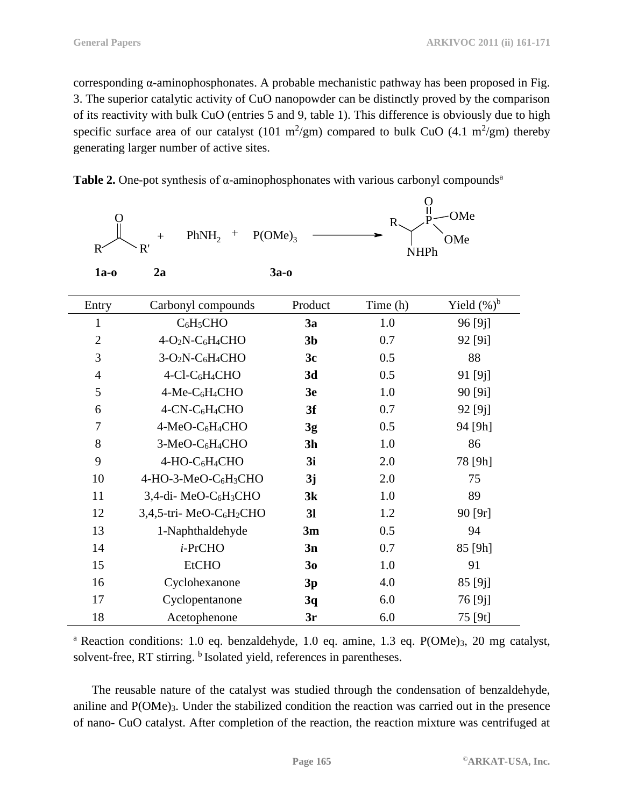corresponding α-aminophosphonates. A probable mechanistic pathway has been proposed in Fig. 3. The superior catalytic activity of CuO nanopowder can be distinctly proved by the comparison of its reactivity with bulk CuO (entries 5 and 9, table 1). This difference is obviously due to high specific surface area of our catalyst (101 m<sup>2</sup>/gm) compared to bulk CuO (4.1 m<sup>2</sup>/gm) thereby generating larger number of active sites.



| $\mathbb{R}^2$ | PhNH <sub>2</sub><br>$P(OME)_{3}$<br>$^{+}$<br>$\mathrm{+}$<br>R' |                | ဂူ<br>$R_{\gamma}$<br><b>NHPh</b> | OMe<br>OMe          |
|----------------|-------------------------------------------------------------------|----------------|-----------------------------------|---------------------|
| $1a-0$         | 2a                                                                | $3a-0$         |                                   |                     |
| Entry          | Carbonyl compounds                                                | Product        | Time (h)                          | Yield $(\%)^b$      |
| $\mathbf{1}$   | $C_6H_5CHO$                                                       | 3a             | 1.0                               | 96 <sup>[9]</sup> ] |
| $\overline{2}$ | 4-O <sub>2</sub> N-C <sub>6</sub> H <sub>4</sub> CHO              | 3 <sub>b</sub> | 0.7                               | 92 [9i]             |
| 3              | $3-O2N-C6H4CHO$                                                   | 3c             | 0.5                               | 88                  |
| $\overline{4}$ | 4-Cl-C <sub>6</sub> H <sub>4</sub> CHO                            | 3d             | 0.5                               | 91 [9j]             |
| 5              | 4-Me-C <sub>6</sub> H <sub>4</sub> CHO                            | 3e             | 1.0                               | 90 [9i]             |
| 6              | 4-CN-C <sub>6</sub> H <sub>4</sub> CHO                            | 3f             | 0.7                               | 92 [9j]             |
| 7              | 4-MeO-C <sub>6</sub> H <sub>4</sub> CHO                           | 3g             | 0.5                               | 94 [9h]             |
| 8              | 3-MeO-C <sub>6</sub> H <sub>4</sub> CHO                           | 3 <sub>h</sub> | 1.0                               | 86                  |
| 9              | 4-HO-C <sub>6</sub> H <sub>4</sub> CHO                            | 3i             | 2.0                               | 78 [9h]             |
| 10             | 4-HO-3-MeO-C <sub>6</sub> H <sub>3</sub> CHO                      | 3j             | 2.0                               | 75                  |
| 11             | 3,4-di- MeO-C <sub>6</sub> H <sub>3</sub> CHO                     | 3k             | 1.0                               | 89                  |
| 12             | 3,4,5-tri-MeO-C <sub>6</sub> H <sub>2</sub> CHO                   | 3 <sub>l</sub> | 1.2                               | 90 [9r]             |
| 13             | 1-Naphthaldehyde                                                  | 3m             | 0.5                               | 94                  |
| 14             | i-PrCHO                                                           | 3n             | 0.7                               | 85 [9h]             |
| 15             | <b>EtCHO</b>                                                      | 30             | 1.0                               | 91                  |
| 16             | Cyclohexanone                                                     | 3p             | 4.0                               | 85 [9j]             |
| 17             | Cyclopentanone                                                    | 3q             | 6.0                               | 76 [9j]             |
| 18             | Acetophenone                                                      | 3r             | 6.0                               | 75 [9t]             |

<sup>a</sup> Reaction conditions: 1.0 eq. benzaldehyde, 1.0 eq. amine, 1.3 eq.  $P(OME)_3$ , 20 mg catalyst, solvent-free, RT stirring. <sup>b</sup> Isolated yield, references in parentheses.

The reusable nature of the catalyst was studied through the condensation of benzaldehyde, aniline and P(OMe)3. Under the stabilized condition the reaction was carried out in the presence of nano- CuO catalyst. After completion of the reaction, the reaction mixture was centrifuged at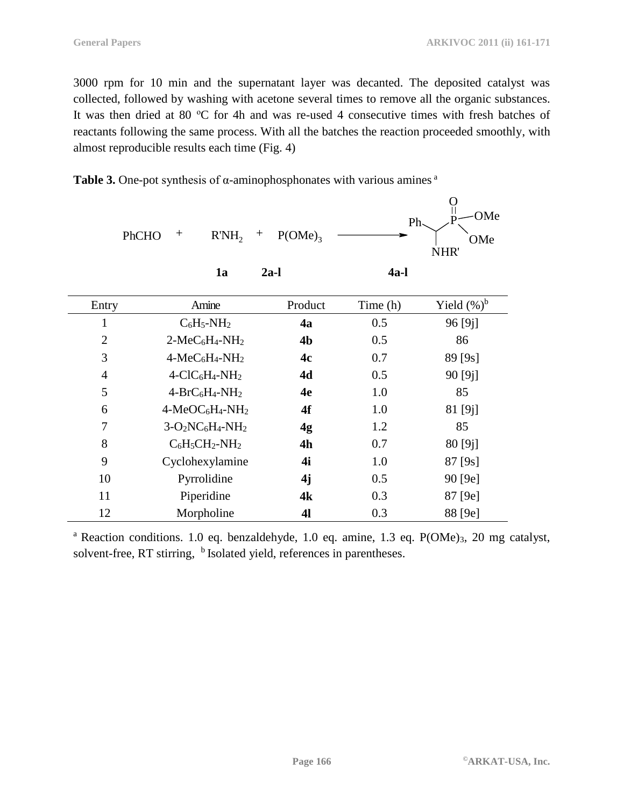3000 rpm for 10 min and the supernatant layer was decanted. The deposited catalyst was collected, followed by washing with acetone several times to remove all the organic substances. It was then dried at 80 °C for 4h and was re-used 4 consecutive times with fresh batches of reactants following the same process. With all the batches the reaction proceeded smoothly, with almost reproducible results each time (Fig. 4)

|                | $^{+}$<br>R'NH <sub>2</sub><br>PhCHO | $P(OME)_{3}$<br>$\! +$ | Ph       | Ő<br>$\mathsf{II}$<br>OMe<br>OMe<br>NHR' |
|----------------|--------------------------------------|------------------------|----------|------------------------------------------|
|                | 1a                                   | $2a-1$                 | $4a-1$   |                                          |
| Entry          | Amine                                | Product                | Time (h) | Yield $(\%)^b$                           |
| 1              | $C_6H_5-NH_2$                        | 4a                     | 0.5      | 96 [9j]                                  |
| $\overline{2}$ | $2-MeC6H4-NH2$                       | 4 <sub>b</sub>         | 0.5      | 86                                       |
| 3              | $4-MeC6H4-NH2$                       | 4c                     | 0.7      | 89 [9s]                                  |
| $\overline{4}$ | $4-CIC6H4-NH2$                       | 4d                     | 0.5      | 90 [9j]                                  |
| 5              | $4-BrC_6H_4-NH_2$                    | 4e                     | 1.0      | 85                                       |
| 6              | $4-MeOC6H4-NH2$                      | 4f                     | 1.0      | 81 [9j]                                  |
| 7              | $3-O2NC6H4-NH2$                      | 4g                     | 1.2      | 85                                       |
| 8              | $C_6H_5CH_2-NH_2$                    | 4h                     | 0.7      | 80 [9j]                                  |
| 9              | Cyclohexylamine                      | 4i                     | 1.0      | 87 [9s]                                  |
| 10             | Pyrrolidine                          | 4j                     | 0.5      | 90 [9e]                                  |
| 11             | Piperidine                           | 4k                     | 0.3      | 87 [9e]                                  |
| 12             | Morpholine                           | 41                     | 0.3      | 88 [9e]                                  |

**Table 3.** One-pot synthesis of  $\alpha$ -aminophosphonates with various amines  $\alpha$ 

<sup>a</sup> Reaction conditions. 1.0 eq. benzaldehyde, 1.0 eq. amine, 1.3 eq.  $P(OME)_3$ , 20 mg catalyst, solvent-free, RT stirring, <sup>b</sup> Isolated yield, references in parentheses.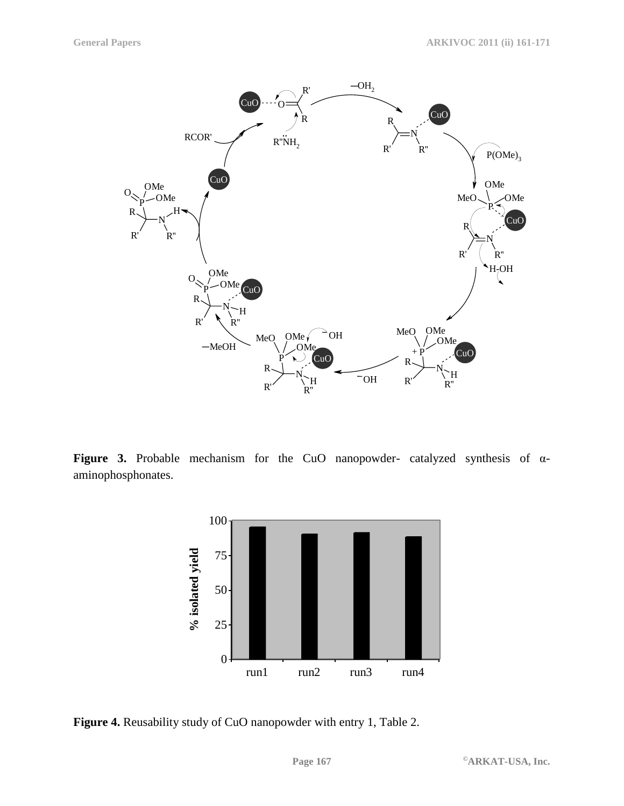

**Figure 3.** Probable mechanism for the CuO nanopowder- catalyzed synthesis of αaminophosphonates.



**Figure 4.** Reusability study of CuO nanopowder with entry 1, Table 2.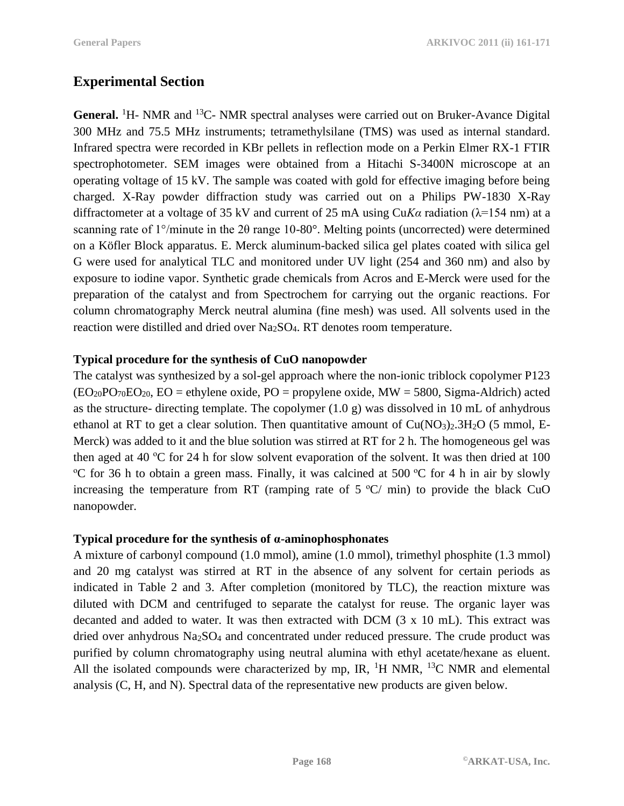# **Experimental Section**

General. <sup>1</sup>H- NMR and <sup>13</sup>C- NMR spectral analyses were carried out on Bruker-Avance Digital 300 MHz and 75.5 MHz instruments; tetramethylsilane (TMS) was used as internal standard. Infrared spectra were recorded in KBr pellets in reflection mode on a Perkin Elmer RX-1 FTIR spectrophotometer. SEM images were obtained from a Hitachi S-3400N microscope at an operating voltage of 15 kV. The sample was coated with gold for effective imaging before being charged. X-Ray powder diffraction study was carried out on a Philips PW-1830 X-Ray diffractometer at a voltage of 35 kV and current of 25 mA using Cu*Kα* radiation (λ=154 nm) at a scanning rate of 1°/minute in the 2θ range 10-80°. Melting points (uncorrected) were determined on a Köfler Block apparatus. E. Merck aluminum-backed silica gel plates coated with silica gel G were used for analytical TLC and monitored under UV light (254 and 360 nm) and also by exposure to iodine vapor. Synthetic grade chemicals from Acros and E-Merck were used for the preparation of the catalyst and from Spectrochem for carrying out the organic reactions. For column chromatography Merck neutral alumina (fine mesh) was used. All solvents used in the reaction were distilled and dried over Na<sub>2</sub>SO<sub>4</sub>. RT denotes room temperature.

### **Typical procedure for the synthesis of CuO nanopowder**

The catalyst was synthesized by a sol-gel approach where the non-ionic triblock copolymer P123  $(EO<sub>20</sub>PO<sub>70</sub>EO<sub>20</sub>, EO = ethylene oxide, PO = propylene oxide, MW = 5800, Sigma-Aldrich) acted$ as the structure- directing template. The copolymer (1.0 g) was dissolved in 10 mL of anhydrous ethanol at RT to get a clear solution. Then quantitative amount of  $Cu(NO<sub>3</sub>)<sub>2</sub>3H<sub>2</sub>O$  (5 mmol, E-Merck) was added to it and the blue solution was stirred at RT for 2 h. The homogeneous gel was then aged at 40  $\degree$ C for 24 h for slow solvent evaporation of the solvent. It was then dried at 100 <sup>o</sup>C for 36 h to obtain a green mass. Finally, it was calcined at 500 <sup>o</sup>C for 4 h in air by slowly increasing the temperature from RT (ramping rate of  $5 \degree C/$  min) to provide the black CuO nanopowder.

### **Typical procedure for the synthesis of α-aminophosphonates**

A mixture of carbonyl compound (1.0 mmol), amine (1.0 mmol), trimethyl phosphite (1.3 mmol) and 20 mg catalyst was stirred at RT in the absence of any solvent for certain periods as indicated in Table 2 and 3. After completion (monitored by TLC), the reaction mixture was diluted with DCM and centrifuged to separate the catalyst for reuse. The organic layer was decanted and added to water. It was then extracted with DCM (3 x 10 mL). This extract was dried over anhydrous Na<sub>2</sub>SO<sub>4</sub> and concentrated under reduced pressure. The crude product was purified by column chromatography using neutral alumina with ethyl acetate/hexane as eluent. All the isolated compounds were characterized by mp, IR,  ${}^{1}H$  NMR,  ${}^{13}C$  NMR and elemental analysis (C, H, and N). Spectral data of the representative new products are given below.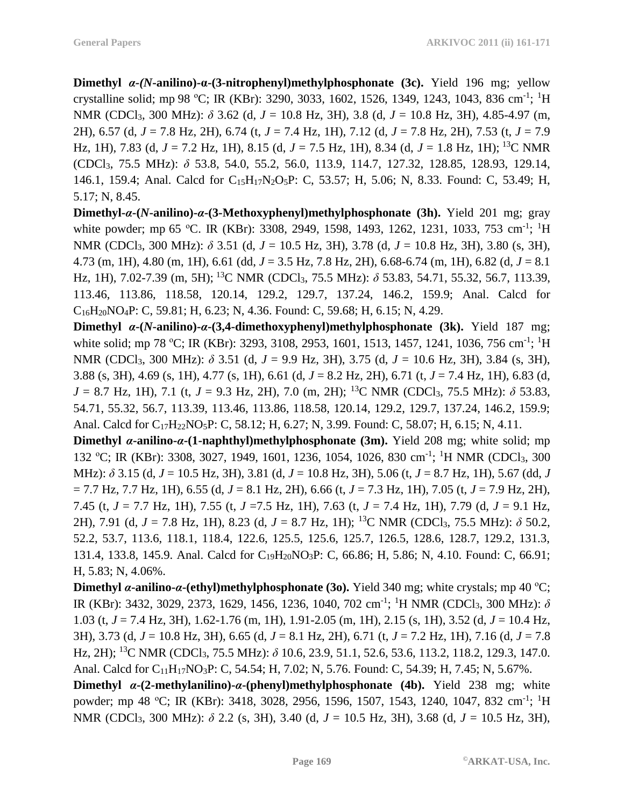**Dimethyl** *α-(N***-anilino)-α-(3-nitrophenyl)methylphosphonate (3c).** Yield 196 mg; yellow crystalline solid; mp 98 °C; IR (KBr): 3290, 3033, 1602, 1526, 1349, 1243, 1043, 836 cm<sup>-1</sup>; <sup>1</sup>H NMR (CDCl3, 300 MHz): *δ* 3.62 (d, *J* = 10.8 Hz, 3H), 3.8 (d, *J* = 10.8 Hz, 3H), 4.85-4.97 (m, 2H), 6.57 (d, *J* = 7.8 Hz, 2H), 6.74 (t, *J* = 7.4 Hz, 1H), 7.12 (d, *J* = 7.8 Hz, 2H), 7.53 (t, *J* = 7.9 Hz, 1H), 7.83 (d, *J* = 7.2 Hz, 1H), 8.15 (d, *J* = 7.5 Hz, 1H), 8.34 (d, *J* = 1.8 Hz, 1H); <sup>13</sup>C NMR (CDCl3, 75.5 MHz): *δ* 53.8, 54.0, 55.2, 56.0, 113.9, 114.7, 127.32, 128.85, 128.93, 129.14, 146.1, 159.4; Anal. Calcd for C15H17N2O5P: C, 53.57; H, 5.06; N, 8.33. Found: C, 53.49; H, 5.17; N, 8.45.

**Dimethyl-***α***-(***N***-anilino)-***α***-(3-Methoxyphenyl)methylphosphonate (3h).** Yield 201 mg; gray white powder; mp 65 °C. IR (KBr): 3308, 2949, 1598, 1493, 1262, 1231, 1033, 753 cm<sup>-1</sup>; <sup>1</sup>H NMR (CDCl3, 300 MHz): *δ* 3.51 (d, *J* = 10.5 Hz, 3H), 3.78 (d, *J* = 10.8 Hz, 3H), 3.80 (s, 3H), 4.73 (m, 1H), 4.80 (m, 1H), 6.61 (dd, *J* = 3.5 Hz, 7.8 Hz, 2H), 6.68-6.74 (m, 1H), 6.82 (d, *J* = 8.1 Hz, 1H), 7.02-7.39 (m, 5H); <sup>13</sup>C NMR (CDCl3, 75.5 MHz): *δ* 53.83, 54.71, 55.32, 56.7, 113.39, 113.46, 113.86, 118.58, 120.14, 129.2, 129.7, 137.24, 146.2, 159.9; Anal. Calcd for  $C_{16}H_{20}NO_4P$ : C, 59.81; H, 6.23; N, 4.36. Found: C, 59.68; H, 6.15; N, 4.29.

**Dimethyl** *α***-(***N***-anilino)-***α***-(3,4-dimethoxyphenyl)methylphosphonate (3k).** Yield 187 mg; white solid; mp 78 °C; IR (KBr): 3293, 3108, 2953, 1601, 1513, 1457, 1241, 1036, 756 cm<sup>-1</sup>; <sup>1</sup>H NMR (CDCl3, 300 MHz): *δ* 3.51 (d, *J* = 9.9 Hz, 3H), 3.75 (d, *J* = 10.6 Hz, 3H), 3.84 (s, 3H), 3.88 (s, 3H), 4.69 (s, 1H), 4.77 (s, 1H), 6.61 (d, *J* = 8.2 Hz, 2H), 6.71 (t, *J* = 7.4 Hz, 1H), 6.83 (d,  $J = 8.7$  Hz, 1H), 7.1 (t,  $J = 9.3$  Hz, 2H), 7.0 (m, 2H); <sup>13</sup>C NMR (CDCl<sub>3</sub>, 75.5 MHz):  $\delta$  53.83, 54.71, 55.32, 56.7, 113.39, 113.46, 113.86, 118.58, 120.14, 129.2, 129.7, 137.24, 146.2, 159.9; Anal. Calcd for C<sub>17</sub>H<sub>22</sub>NO<sub>5</sub>P: C, 58.12; H, 6.27; N, 3.99. Found: C, 58.07; H, 6.15; N, 4.11.

**Dimethyl** *α***-anilino-***α***-(1-naphthyl)methylphosphonate (3m).** Yield 208 mg; white solid; mp 132 °C; IR (KBr): 3308, 3027, 1949, 1601, 1236, 1054, 1026, 830 cm<sup>-1</sup>; <sup>1</sup>H NMR (CDCl<sub>3</sub>, 300 MHz): *δ* 3.15 (d, *J* = 10.5 Hz, 3H), 3.81 (d, *J* = 10.8 Hz, 3H), 5.06 (t, *J* = 8.7 Hz, 1H), 5.67 (dd, *J* = 7.7 Hz, 7.7 Hz, 1H), 6.55 (d, *J* = 8.1 Hz, 2H), 6.66 (t, *J* = 7.3 Hz, 1H), 7.05 (t, *J* = 7.9 Hz, 2H), 7.45 (t, *J* = 7.7 Hz, 1H), 7.55 (t, *J* =7.5 Hz, 1H), 7.63 (t, *J* = 7.4 Hz, 1H), 7.79 (d, *J* = 9.1 Hz, 2H), 7.91 (d, *J* = 7.8 Hz, 1H), 8.23 (d, *J* = 8.7 Hz, 1H); <sup>13</sup>C NMR (CDCl3, 75.5 MHz): *δ* 50.2, 52.2, 53.7, 113.6, 118.1, 118.4, 122.6, 125.5, 125.6, 125.7, 126.5, 128.6, 128.7, 129.2, 131.3, 131.4, 133.8, 145.9. Anal. Calcd for C19H20NO3P: C, 66.86; H, 5.86; N, 4.10. Found: C, 66.91; H, 5.83; N, 4.06%.

**Dimethyl** *a***-anilino-***a***-(ethyl)methylphosphonate (3o). Yield 340 mg; white crystals; mp 40 °C;** IR (KBr): 3432, 3029, 2373, 1629, 1456, 1236, 1040, 702 cm<sup>-1</sup>; <sup>1</sup>H NMR (CDCl<sub>3</sub>, 300 MHz): δ 1.03 (t, *J* = 7.4 Hz, 3H), 1.62-1.76 (m, 1H), 1.91-2.05 (m, 1H), 2.15 (s, 1H), 3.52 (d, *J* = 10.4 Hz, 3H), 3.73 (d, *J* = 10.8 Hz, 3H), 6.65 (d, *J* = 8.1 Hz, 2H), 6.71 (t, *J* = 7.2 Hz, 1H), 7.16 (d, *J* = 7.8 Hz, 2H); <sup>13</sup>C NMR (CDCl3, 75.5 MHz): *δ* 10.6, 23.9, 51.1, 52.6, 53.6, 113.2, 118.2, 129.3, 147.0. Anal. Calcd for C<sub>11</sub>H<sub>17</sub>NO<sub>3</sub>P: C, 54.54; H, 7.02; N, 5.76. Found: C, 54.39; H, 7.45; N, 5.67%.

**Dimethyl** *α***-(2-methylanilino)-***α***-(phenyl)methylphosphonate (4b).** Yield 238 mg; white powder; mp 48 °C; IR (KBr): 3418, 3028, 2956, 1596, 1507, 1543, 1240, 1047, 832 cm<sup>-1</sup>; <sup>1</sup>H NMR (CDCl3, 300 MHz): *δ* 2.2 (s, 3H), 3.40 (d, *J* = 10.5 Hz, 3H), 3.68 (d, *J* = 10.5 Hz, 3H),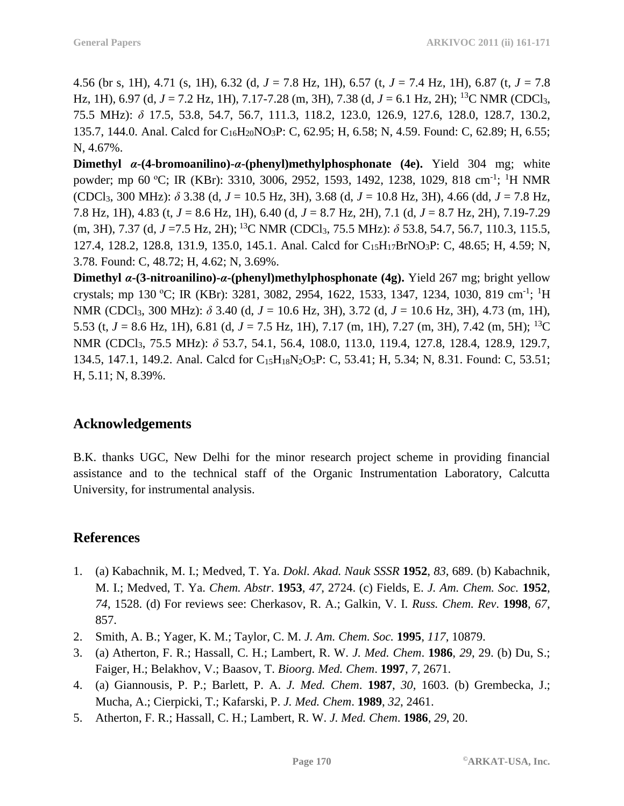4.56 (br s, 1H), 4.71 (s, 1H), 6.32 (d, *J* = 7.8 Hz, 1H), 6.57 (t, *J* = 7.4 Hz, 1H), 6.87 (t, *J* = 7.8 Hz, 1H), 6.97 (d, *J* = 7.2 Hz, 1H), 7.17-7.28 (m, 3H), 7.38 (d, *J* = 6.1 Hz, 2H); <sup>13</sup>C NMR (CDCl3, 75.5 MHz): *δ* 17.5, 53.8, 54.7, 56.7, 111.3, 118.2, 123.0, 126.9, 127.6, 128.0, 128.7, 130.2, 135.7, 144.0. Anal. Calcd for C16H20NO3P: C, 62.95; H, 6.58; N, 4.59. Found: C, 62.89; H, 6.55; N, 4.67%.

**Dimethyl** *α***-(4-bromoanilino)-***α***-(phenyl)methylphosphonate (4e).** Yield 304 mg; white powder; mp 60 °C; IR (KBr): 3310, 3006, 2952, 1593, 1492, 1238, 1029, 818 cm<sup>-1</sup>; <sup>1</sup>H NMR (CDCl3, 300 MHz): *δ* 3.38 (d, *J* = 10.5 Hz, 3H), 3.68 (d, *J* = 10.8 Hz, 3H), 4.66 (dd, *J* = 7.8 Hz, 7.8 Hz, 1H), 4.83 (t, *J* = 8.6 Hz, 1H), 6.40 (d, *J* = 8.7 Hz, 2H), 7.1 (d, *J* = 8.7 Hz, 2H), 7.19-7.29 (m, 3H), 7.37 (d, *J* =7.5 Hz, 2H); <sup>13</sup>C NMR (CDCl3, 75.5 MHz): *δ* 53.8, 54.7, 56.7, 110.3, 115.5, 127.4, 128.2, 128.8, 131.9, 135.0, 145.1. Anal. Calcd for C<sub>15</sub>H<sub>17</sub>BrNO<sub>3</sub>P: C, 48.65; H, 4.59; N, 3.78. Found: C, 48.72; H, 4.62; N, 3.69%.

**Dimethyl** *α***-(3-nitroanilino)-***α***-(phenyl)methylphosphonate (4g).** Yield 267 mg; bright yellow crystals; mp 130 °C; IR (KBr): 3281, 3082, 2954, 1622, 1533, 1347, 1234, 1030, 819 cm<sup>-1</sup>; <sup>1</sup>H NMR (CDCl3, 300 MHz): *δ* 3.40 (d, *J* = 10.6 Hz, 3H), 3.72 (d, *J* = 10.6 Hz, 3H), 4.73 (m, 1H), 5.53 (t, *J* = 8.6 Hz, 1H), 6.81 (d, *J* = 7.5 Hz, 1H), 7.17 (m, 1H), 7.27 (m, 3H), 7.42 (m, 5H); <sup>13</sup>C NMR (CDCl3, 75.5 MHz): *δ* 53.7, 54.1, 56.4, 108.0, 113.0, 119.4, 127.8, 128.4, 128.9, 129.7, 134.5, 147.1, 149.2. Anal. Calcd for C<sub>15</sub>H<sub>18</sub>N<sub>2</sub>O<sub>5</sub>P: C, 53.41; H, 5.34; N, 8.31. Found: C, 53.51; H, 5.11; N, 8.39%.

### **Acknowledgements**

B.K. thanks UGC, New Delhi for the minor research project scheme in providing financial assistance and to the technical staff of the Organic Instrumentation Laboratory, Calcutta University, for instrumental analysis.

# **References**

- 1. (a) Kabachnik, M. I.; Medved, T. Ya. *Dokl. Akad. Nauk SSSR* **1952**, *83*, 689. (b) Kabachnik, M. I.; Medved, T. Ya. *Chem. Abstr*. **1953**, *47*, 2724. (c) Fields, E. *J. Am. Chem. Soc.* **1952**, *74*, 1528. (d) For reviews see: Cherkasov, R. A.; Galkin, V. I. *Russ. Chem. Rev*. **1998**, *67*, 857.
- 2. Smith, A. B.; Yager, K. M.; Taylor, C. M. *J. Am. Chem. Soc.* **1995**, *117*, 10879.
- 3. (a) Atherton, F. R.; Hassall, C. H.; Lambert, R. W. *J. Med. Chem*. **1986**, *29*, 29. (b) Du, S.; Faiger, H.; Belakhov, V.; Baasov, T. *Bioorg. Med. Chem*. **1997**, *7*, 2671.
- 4. (a) Giannousis, P. P.; Barlett, P. A. *J. Med. Chem*. **1987**, *30*, 1603. (b) Grembecka, J.; Mucha, A.; Cierpicki, T.; Kafarski, P. *J. Med. Chem*. **1989**, *32*, 2461.
- 5. Atherton, F. R.; Hassall, C. H.; Lambert, R. W. *J. Med. Chem*. **1986**, *29*, 20.